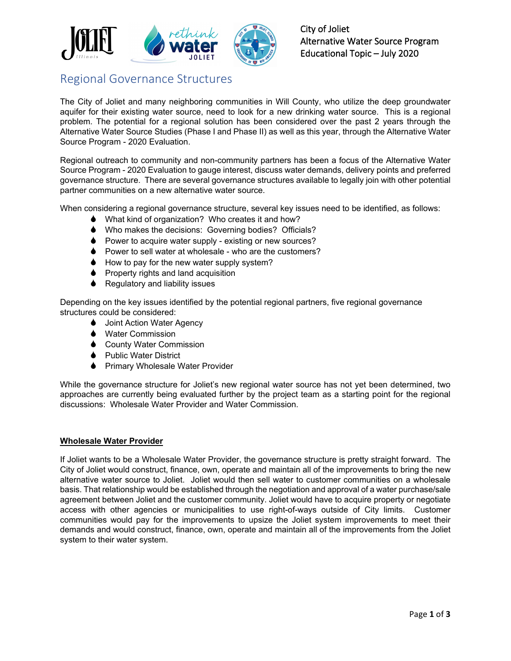

## Regional Governance Structures

The City of Joliet and many neighboring communities in Will County, who utilize the deep groundwater aquifer for their existing water source, need to look for a new drinking water source. This is a regional problem. The potential for a regional solution has been considered over the past 2 years through the Alternative Water Source Studies (Phase I and Phase II) as well as this year, through the Alternative Water Source Program - 2020 Evaluation.

Regional outreach to community and non-community partners has been a focus of the Alternative Water Source Program - 2020 Evaluation to gauge interest, discuss water demands, delivery points and preferred governance structure. There are several governance structures available to legally join with other potential partner communities on a new alternative water source.

When considering a regional governance structure, several key issues need to be identified, as follows:

- ♦ What kind of organization? Who creates it and how?
- Who makes the decisions: Governing bodies? Officials?
- ♦ Power to acquire water supply existing or new sources?
- ♦ Power to sell water at wholesale who are the customers?
- $\bullet$  How to pay for the new water supply system?
- $\bullet$  Property rights and land acquisition
- $\triangle$  Regulatory and liability issues

Depending on the key issues identified by the potential regional partners, five regional governance structures could be considered:

- **↓** Joint Action Water Agency
- **◆** Water Commission
- **↓** County Water Commission
- **●** Public Water District
- ♦ Primary Wholesale Water Provider

While the governance structure for Joliet's new regional water source has not yet been determined, two approaches are currently being evaluated further by the project team as a starting point for the regional discussions: Wholesale Water Provider and Water Commission.

## **Wholesale Water Provider**

If Joliet wants to be a Wholesale Water Provider, the governance structure is pretty straight forward. The City of Joliet would construct, finance, own, operate and maintain all of the improvements to bring the new alternative water source to Joliet. Joliet would then sell water to customer communities on a wholesale basis. That relationship would be established through the negotiation and approval of a water purchase/sale agreement between Joliet and the customer community. Joliet would have to acquire property or negotiate access with other agencies or municipalities to use right-of-ways outside of City limits. Customer communities would pay for the improvements to upsize the Joliet system improvements to meet their demands and would construct, finance, own, operate and maintain all of the improvements from the Joliet system to their water system.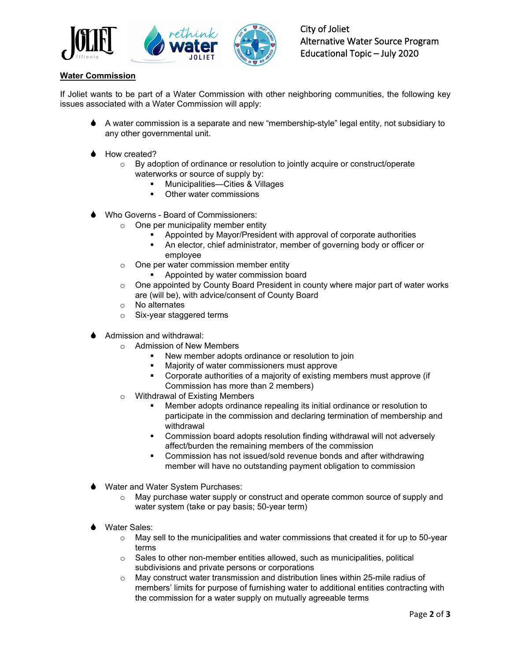

## **Water Commission**

If Joliet wants to be part of a Water Commission with other neighboring communities, the following key issues associated with a Water Commission will apply:

- A water commission is a separate and new "membership-style" legal entity, not subsidiary to any other governmental unit.
- How created?
	- o By adoption of ordinance or resolution to jointly acquire or construct/operate waterworks or source of supply by:
		- Municipalities—Cities & Villages
		- Other water commissions
- Who Governs Board of Commissioners:
	- $\circ$  One per municipality member entity
		- Appointed by Mayor/President with approval of corporate authorities
		- An elector, chief administrator, member of governing body or officer or employee
	- o One per water commission member entity
		- **Appointed by water commission board**
	- o One appointed by County Board President in county where major part of water works are (will be), with advice/consent of County Board
	- o No alternates
	- o Six-year staggered terms
- Admission and withdrawal:
	- o Admission of New Members
		- New member adopts ordinance or resolution to join
		- Majority of water commissioners must approve
		- Corporate authorities of a majority of existing members must approve (if Commission has more than 2 members)
	- o Withdrawal of Existing Members
		- Member adopts ordinance repealing its initial ordinance or resolution to participate in the commission and declaring termination of membership and withdrawal
		- Commission board adopts resolution finding withdrawal will not adversely affect/burden the remaining members of the commission
		- Commission has not issued/sold revenue bonds and after withdrawing member will have no outstanding payment obligation to commission
- Water and Water System Purchases:
	- $\circ$  May purchase water supply or construct and operate common source of supply and water system (take or pay basis; 50-year term)
- Water Sales:
	- $\circ$  May sell to the municipalities and water commissions that created it for up to 50-year terms
	- o Sales to other non-member entities allowed, such as municipalities, political subdivisions and private persons or corporations
	- o May construct water transmission and distribution lines within 25-mile radius of members' limits for purpose of furnishing water to additional entities contracting with the commission for a water supply on mutually agreeable terms